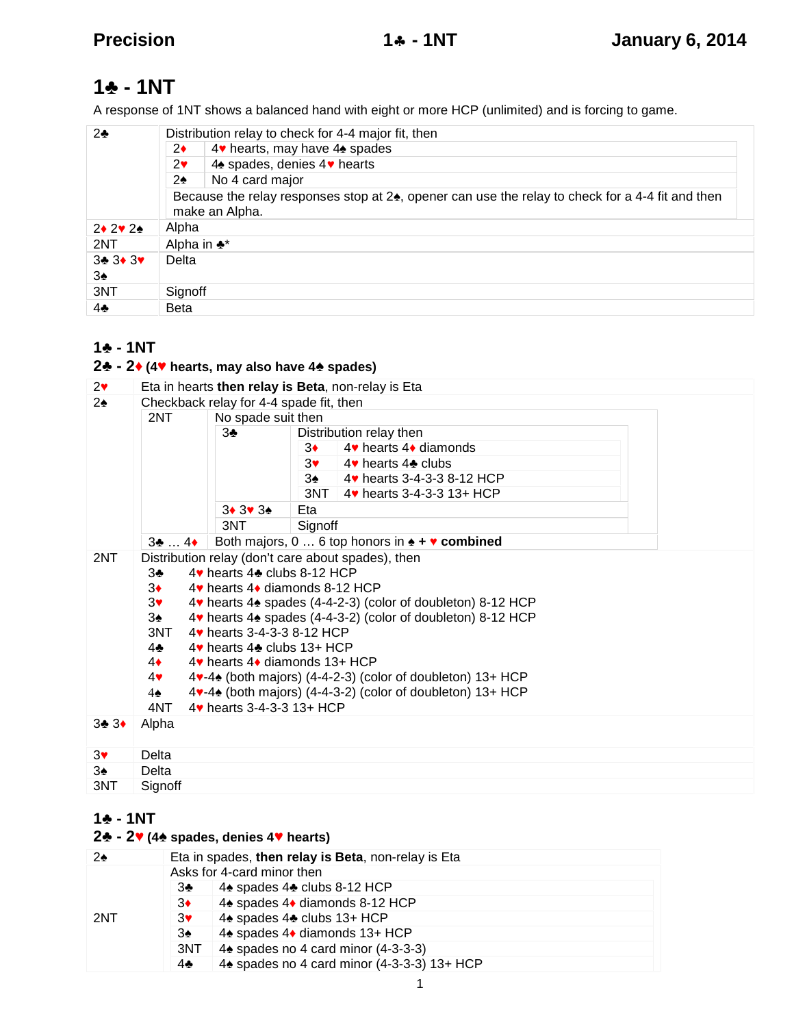# **- 1NT**

A response of 1NT shows a balanced hand with eight or more HCP (unlimited) and is forcing to game.

| 2          | Distribution relay to check for 4-4 major fit, then<br>4 hearts, may have 4 spades<br>2<br>4 spades, denies 4 hearts<br>2<br>No 4 card major<br>2<br>Because the relay responses stop at 2, opener can use the relay to check for a 4-4 fit and then |  |  |
|------------|------------------------------------------------------------------------------------------------------------------------------------------------------------------------------------------------------------------------------------------------------|--|--|
|            | make an Alpha.                                                                                                                                                                                                                                       |  |  |
| 2 2 2      | Alpha                                                                                                                                                                                                                                                |  |  |
| 2NT        | Alpha in *                                                                                                                                                                                                                                           |  |  |
| 3 3 3<br>3 | Delta                                                                                                                                                                                                                                                |  |  |
| 3NT        | Signoff                                                                                                                                                                                                                                              |  |  |
| 4          | <b>Beta</b>                                                                                                                                                                                                                                          |  |  |

## **- 1NT**

## **- 2 (4 hearts, may also have 4 spades)**

| $\overline{2}$ | Eta in hearts then relay is Beta, non-relay is Eta                                                                                                                                                                                                                                                                                                                                                                                                                                                                                            |                    |                                |  |  |  |  |
|----------------|-----------------------------------------------------------------------------------------------------------------------------------------------------------------------------------------------------------------------------------------------------------------------------------------------------------------------------------------------------------------------------------------------------------------------------------------------------------------------------------------------------------------------------------------------|--------------------|--------------------------------|--|--|--|--|
| 2              | Checkback relay for 4-4 spade fit, then                                                                                                                                                                                                                                                                                                                                                                                                                                                                                                       |                    |                                |  |  |  |  |
|                | 2NT                                                                                                                                                                                                                                                                                                                                                                                                                                                                                                                                           | No spade suit then |                                |  |  |  |  |
|                |                                                                                                                                                                                                                                                                                                                                                                                                                                                                                                                                               | 3                  | Distribution relay then        |  |  |  |  |
|                |                                                                                                                                                                                                                                                                                                                                                                                                                                                                                                                                               |                    | 4 hearts 4 diamonds<br>3       |  |  |  |  |
|                |                                                                                                                                                                                                                                                                                                                                                                                                                                                                                                                                               |                    | 3<br>4 hearts 4 clubs          |  |  |  |  |
|                |                                                                                                                                                                                                                                                                                                                                                                                                                                                                                                                                               |                    | 3<br>4 hearts 3-4-3-3 8-12 HCP |  |  |  |  |
|                |                                                                                                                                                                                                                                                                                                                                                                                                                                                                                                                                               |                    | 3NT 4 hearts 3-4-3-3 13+ HCP   |  |  |  |  |
|                |                                                                                                                                                                                                                                                                                                                                                                                                                                                                                                                                               | 3 3 3              | Eta                            |  |  |  |  |
|                |                                                                                                                                                                                                                                                                                                                                                                                                                                                                                                                                               | 3NT                | Signoff                        |  |  |  |  |
|                | Both majors, 0  6 top honors in + combined<br>3<br>$\ldots$ 4                                                                                                                                                                                                                                                                                                                                                                                                                                                                                 |                    |                                |  |  |  |  |
| 2NT            | Distribution relay (don't care about spades), then<br>4 hearts 4 clubs 8-12 HCP<br>3<br>3<br>4 hearts 4 diamonds 8-12 HCP<br>3<br>4 hearts 4 spades (4-4-2-3) (color of doubleton) 8-12 HCP<br>3<br>4 hearts 4 spades (4-4-3-2) (color of doubleton) 8-12 HCP<br>3NT<br>4 hearts 3-4-3-3 8-12 HCP<br>4 hearts 4 clubs 13+ HCP<br>4<br>4<br>4 hearts 4 diamonds 13+ HCP<br>4<br>4 -4 (both majors) (4-4-2-3) (color of doubleton) 13+ HCP<br>4 -4 (both majors) (4-4-3-2) (color of doubleton) 13+ HCP<br>4<br>4 hearts 3-4-3-3 13+ HCP<br>4NT |                    |                                |  |  |  |  |
| 3 <sub>3</sub> | Alpha                                                                                                                                                                                                                                                                                                                                                                                                                                                                                                                                         |                    |                                |  |  |  |  |
| 3              | Delta                                                                                                                                                                                                                                                                                                                                                                                                                                                                                                                                         |                    |                                |  |  |  |  |
| 3              | Delta                                                                                                                                                                                                                                                                                                                                                                                                                                                                                                                                         |                    |                                |  |  |  |  |
| 3NT            | Signoff                                                                                                                                                                                                                                                                                                                                                                                                                                                                                                                                       |                    |                                |  |  |  |  |

## **- 1NT**

## **- 2 (4 spades, denies 4 hearts)**

| 2   | Eta in spades, then relay is Beta, non-relay is Eta |                                            |  |  |  |
|-----|-----------------------------------------------------|--------------------------------------------|--|--|--|
|     | Asks for 4-card minor then                          |                                            |  |  |  |
|     | 3                                                   | 4 spades 4 clubs 8-12 HCP                  |  |  |  |
|     | 3                                                   | 4 spades 4 diamonds 8-12 HCP               |  |  |  |
| 2NT | 3                                                   | 4 spades 4 clubs 13+ HCP                   |  |  |  |
|     | 3                                                   | 4 spades 4 diamonds 13+ HCP                |  |  |  |
|     | 3NT L                                               | 4 spades no 4 card minor (4-3-3-3)         |  |  |  |
|     | 4                                                   | 4 spades no 4 card minor (4-3-3-3) 13+ HCP |  |  |  |